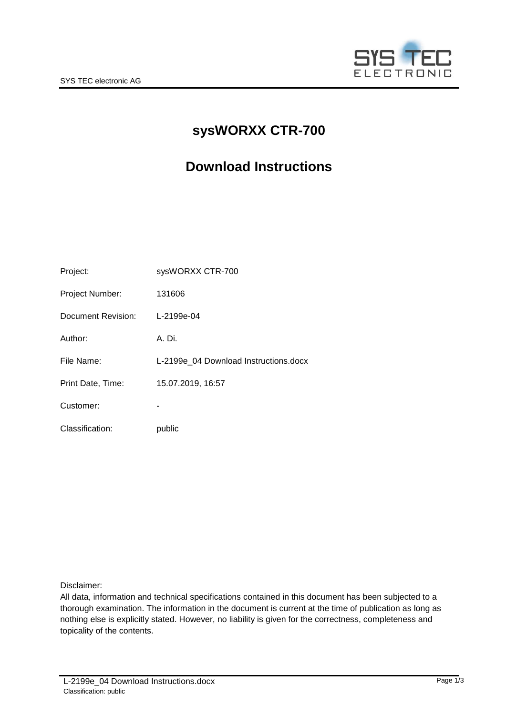

# **sysWORXX CTR-700**

# **Download Instructions**

| Project:           | sysWORXX CTR-700                      |  |
|--------------------|---------------------------------------|--|
| Project Number:    | 131606                                |  |
| Document Revision: | L-2199e-04                            |  |
| Author:            | A. Di.                                |  |
| File Name:         | L-2199e 04 Download Instructions.docx |  |
| Print Date, Time:  | 15.07.2019, 16:57                     |  |
| Customer:          |                                       |  |
| Classification:    | public                                |  |

Disclaimer:

All data, information and technical specifications contained in this document has been subjected to a thorough examination. The information in the document is current at the time of publication as long as nothing else is explicitly stated. However, no liability is given for the correctness, completeness and topicality of the contents.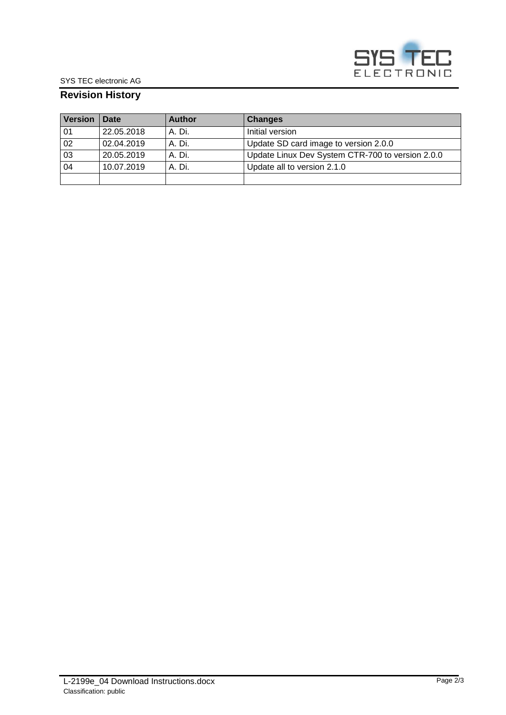

### **Revision History**

| <b>Version</b> | Date       | <b>Author</b> | <b>Changes</b>                                   |
|----------------|------------|---------------|--------------------------------------------------|
| 01             | 22.05.2018 | A. Di.        | Initial version                                  |
| 02             | 02.04.2019 | A. Di.        | Update SD card image to version 2.0.0            |
| 03             | 20.05.2019 | A. Di.        | Update Linux Dev System CTR-700 to version 2.0.0 |
| 04             | 10.07.2019 | A. Di.        | Update all to version 2.1.0                      |
|                |            |               |                                                  |